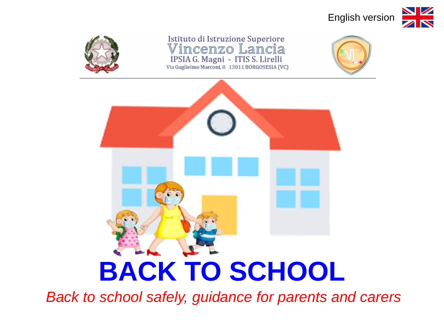





Istituto di Istruzione Superiore Vincenzo Lancia IPSIA G. Magni - ITIS S. Lirelli Via Guglielmo Marconi, 8 13011 BORGOSESIA (VC)





*Back to school safely, guidance for parents and carers*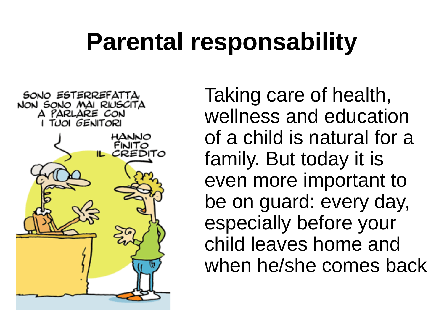# **Parental responsability**



Taking care of health, wellness and education of a child is natural for a family. But today it is even more important to be on guard: every day, especially before your child leaves home and when he/she comes back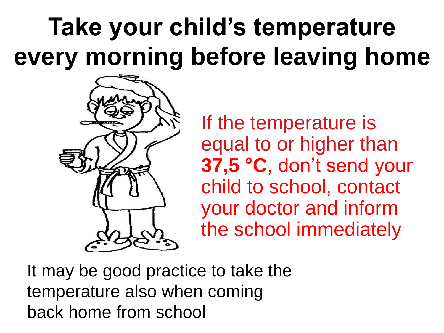# **Take your child's temperature every morning before leaving home**



If the temperature is equal to or higher than **37,5 °C**, don't send your child to school, contact your doctor and inform the school immediately

It may be good practice to take the temperature also when coming back home from school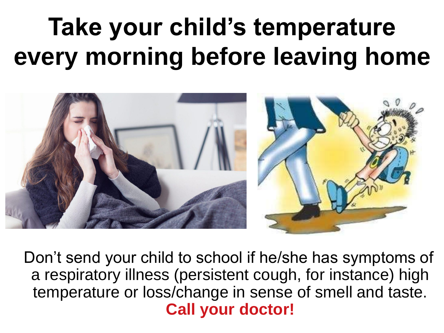# **Take your child's temperature every morning before leaving home**



Don't send your child to school if he/she has symptoms of a respiratory illness (persistent cough, for instance) high temperature or loss/change in sense of smell and taste. **Call your doctor!**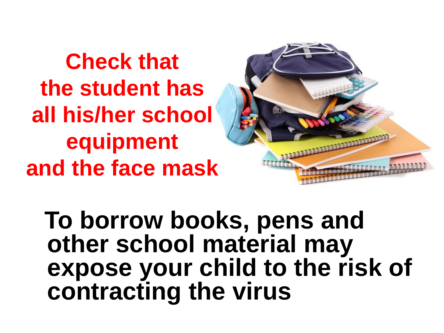**Check that the student has all his/her school equipment and the face mask**



**To borrow books, pens and other school material may expose your child to the risk of contracting the virus**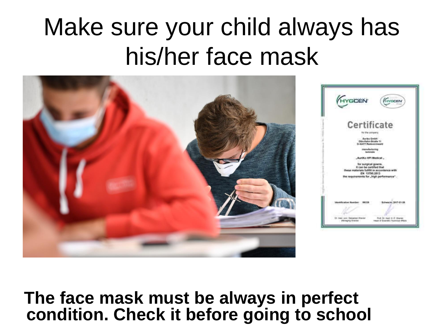# Make sure your child always has his/her face mask



#### **The face mask must be always in perfect condition. Check it before going to school**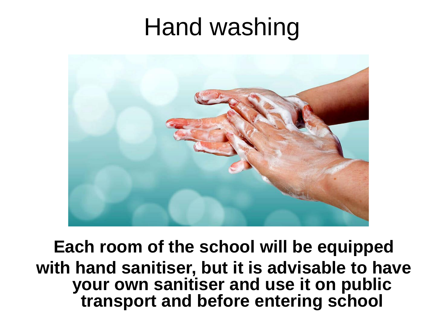## Hand washing



**Each room of the school will be equipped with hand sanitiser, but it is advisable to have your own sanitiser and use it on public transport and before entering school**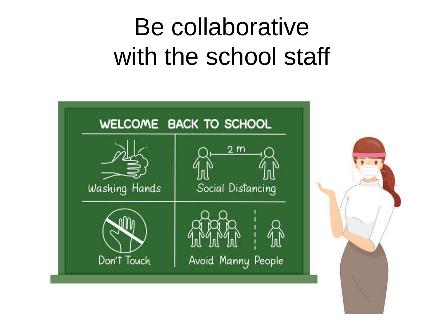# Be collaborative with the school staff

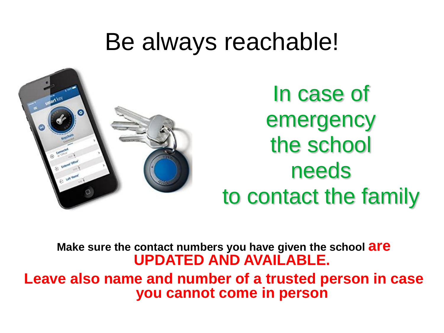#### Be always reachable!



In case of emergency the school needs to contact the family

**Make sure the contact numbers you have given the school are UPDATED AND AVAILABLE.**

**Leave also name and number of a trusted person in case you cannot come in person**